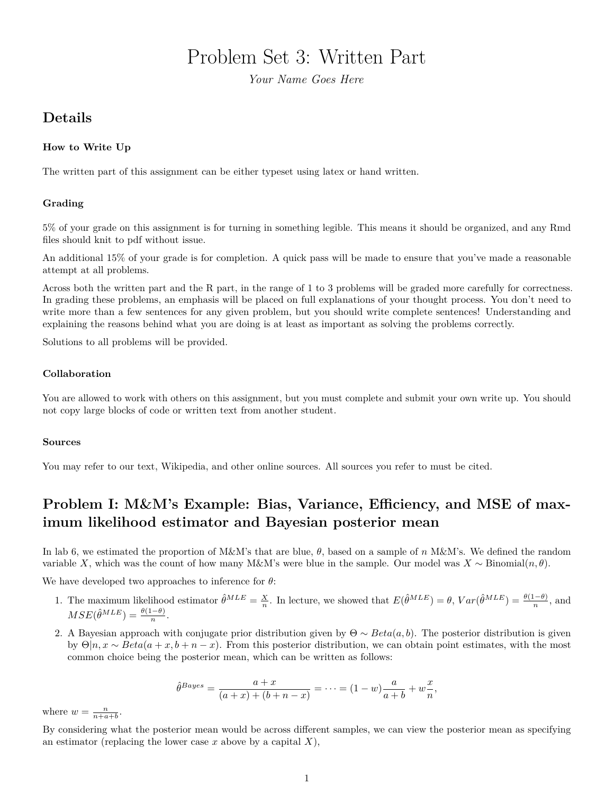# Problem Set 3: Written Part

*Your Name Goes Here*

## **Details**

## **How to Write Up**

The written part of this assignment can be either typeset using latex or hand written.

## **Grading**

5% of your grade on this assignment is for turning in something legible. This means it should be organized, and any Rmd files should knit to pdf without issue.

An additional 15% of your grade is for completion. A quick pass will be made to ensure that you've made a reasonable attempt at all problems.

Across both the written part and the R part, in the range of 1 to 3 problems will be graded more carefully for correctness. In grading these problems, an emphasis will be placed on full explanations of your thought process. You don't need to write more than a few sentences for any given problem, but you should write complete sentences! Understanding and explaining the reasons behind what you are doing is at least as important as solving the problems correctly.

Solutions to all problems will be provided.

### **Collaboration**

You are allowed to work with others on this assignment, but you must complete and submit your own write up. You should not copy large blocks of code or written text from another student.

### **Sources**

You may refer to our text, Wikipedia, and other online sources. All sources you refer to must be cited.

## **Problem I: M&M's Example: Bias, Variance, Efficiency, and MSE of maximum likelihood estimator and Bayesian posterior mean**

In lab 6, we estimated the proportion of M&M's that are blue, *θ*, based on a sample of *n* M&M's. We defined the random variable *X*, which was the count of how many M&M's were blue in the sample. Our model was  $X \sim Binomial(n, \theta)$ .

We have developed two approaches to inference for *θ*:

- 1. The maximum likelihood estimator  $\hat{\theta}^{MLE} = \frac{X}{n}$ . In lecture, we showed that  $E(\hat{\theta}^{MLE}) = \theta$ ,  $Var(\hat{\theta}^{MLE}) = \frac{\theta(1-\theta)}{n}$ , and  $MSE(\hat{\theta}^{MLE}) = \frac{\theta(1-\theta)}{n}$ .
- 2. A Bayesian approach with conjugate prior distribution given by  $\Theta \sim Beta(a, b)$ . The posterior distribution is given by  $\Theta|n, x \sim Beta(a + x, b + n - x)$ . From this posterior distribution, we can obtain point estimates, with the most common choice being the posterior mean, which can be written as follows:

$$
\hat{\theta}^{Bayes} = \frac{a+x}{(a+x) + (b+n-x)} = \dots = (1-w)\frac{a}{a+b} + w\frac{x}{n},
$$

where  $w = \frac{n}{n+a+b}$ .

By considering what the posterior mean would be across different samples, we can view the posterior mean as specifying an estimator (replacing the lower case *x* above by a capital *X*),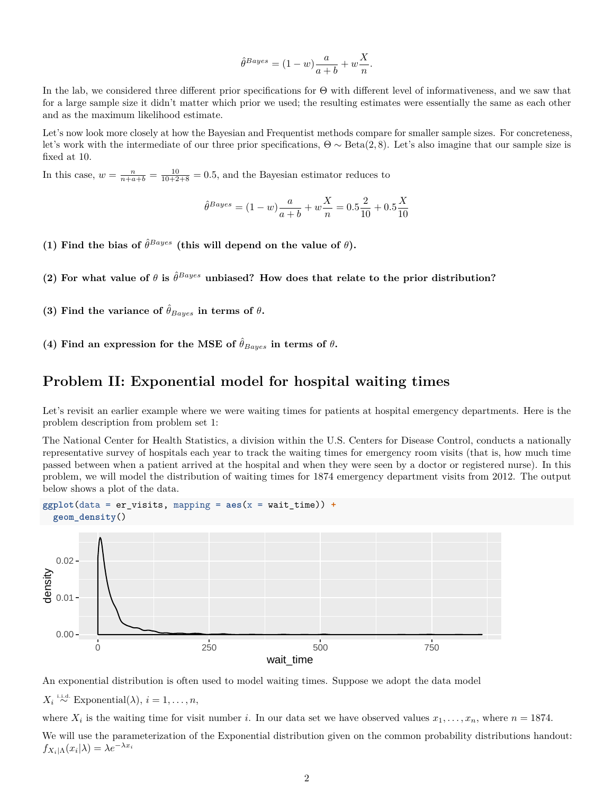$$
\hat{\theta}^{Bayes} = (1 - w) \frac{a}{a + b} + w \frac{X}{n}.
$$

In the lab, we considered three different prior specifications for Θ with different level of informativeness, and we saw that for a large sample size it didn't matter which prior we used; the resulting estimates were essentially the same as each other and as the maximum likelihood estimate.

Let's now look more closely at how the Bayesian and Frequentist methods compare for smaller sample sizes. For concreteness, let's work with the intermediate of our three prior specifications, Θ ∼ Beta(2*,* 8). Let's also imagine that our sample size is fixed at 10.

In this case,  $w = \frac{n}{n+a+b} = \frac{10}{10+2+8} = 0.5$ , and the Bayesian estimator reduces to

$$
\hat{\theta}^{Bayes} = (1 - w)\frac{a}{a + b} + w\frac{X}{n} = 0.5\frac{2}{10} + 0.5\frac{X}{10}
$$

- (1) Find the bias of  $\hat{\theta}^{Bayes}$  (this will depend on the value of  $\theta$ ).
- (2) For what value of  $\theta$  is  $\hat{\theta}^{Bayes}$  unbiased? How does that relate to the prior distribution?
- **(3)** Find the variance of  $\hat{\theta}_{Baves}$  in terms of  $\theta$ .
- (4) Find an expression for the MSE of  $\hat{\theta}_{Bayes}$  in terms of  $\theta$ .

## **Problem II: Exponential model for hospital waiting times**

Let's revisit an earlier example where we were waiting times for patients at hospital emergency departments. Here is the problem description from problem set 1:

The National Center for Health Statistics, a division within the U.S. Centers for Disease Control, conducts a nationally representative survey of hospitals each year to track the waiting times for emergency room visits (that is, how much time passed between when a patient arrived at the hospital and when they were seen by a doctor or registered nurse). In this problem, we will model the distribution of waiting times for 1874 emergency department visits from 2012. The output below shows a plot of the data.



An exponential distribution is often used to model waiting times. Suppose we adopt the data model

 $X_i \stackrel{\text{i.i.d.}}{\sim} \text{Exponential}(\lambda), i = 1, \ldots, n$ ,

where  $X_i$  is the waiting time for visit number *i*. In our data set we have observed values  $x_1, \ldots, x_n$ , where  $n = 1874$ .

We will use the parameterization of the Exponential distribution given on the common probability distributions handout:  $f_{X_i|\Lambda}(x_i|\lambda) = \lambda e^{-\lambda x_i}$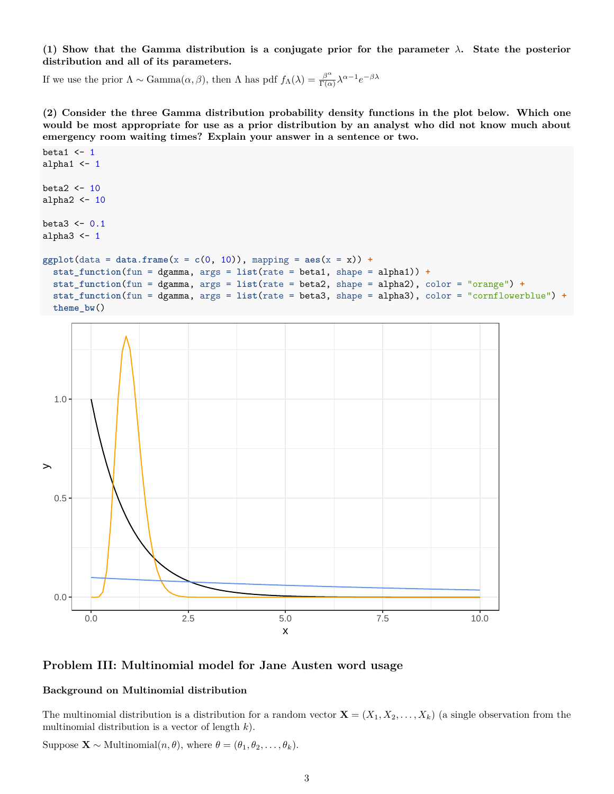**(1) Show that the Gamma distribution is a conjugate prior for the parameter** *λ***. State the posterior distribution and all of its parameters.**

If we use the prior  $\Lambda \sim \text{Gamma}(\alpha, \beta)$ , then  $\Lambda$  has pdf  $f_{\Lambda}(\lambda) = \frac{\beta^{\alpha}}{\Gamma(\alpha)}$  $\frac{\beta^{\alpha}}{\Gamma(\alpha)} \lambda^{\alpha-1} e^{-\beta \lambda}$ 

**(2) Consider the three Gamma distribution probability density functions in the plot below. Which one would be most appropriate for use as a prior distribution by an analyst who did not know much about emergency room waiting times? Explain your answer in a sentence or two.**

```
beta1 \leftarrow 1
alpha1 <-1beta2 \leftarrow 10alpha2 <-10beta3 \leftarrow 0.1alpha3 \leq 1ggplot(data = data-frame(x = c(0, 10)), mapping = aes(x = x)) +stat_function(fun = dgamma, args = list(rate = beta1, shape = alpha1)) +
  stat_function(fun = dgamma, args = list(rate = beta2, shape = alpha2), color = "orange") +
  stat_function(fun = dgamma, args = list(rate = beta3, shape = alpha3), color = "cornflowerblue") +
  theme_bw()
```


**Problem III: Multinomial model for Jane Austen word usage**

#### **Background on Multinomial distribution**

The multinomial distribution is a distribution for a random vector  $\mathbf{X} = (X_1, X_2, \ldots, X_k)$  (a single observation from the multinomial distribution is a vector of length *k*).

Suppose  $\mathbf{X} \sim \text{Multinomial}(n, \theta)$ , where  $\theta = (\theta_1, \theta_2, \dots, \theta_k)$ .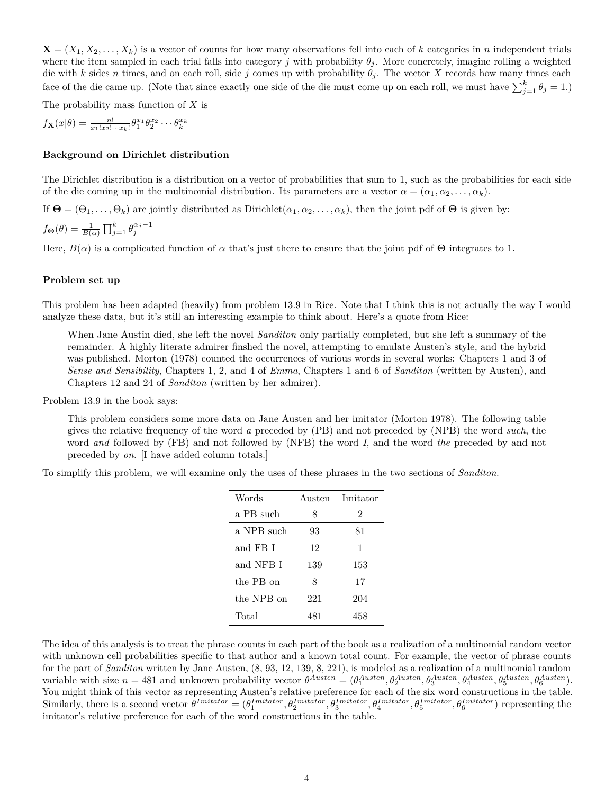$\mathbf{X} = (X_1, X_2, \ldots, X_k)$  is a vector of counts for how many observations fell into each of *k* categories in *n* independent trials where the item sampled in each trial falls into category *j* with probability  $\theta_i$ . More concretely, imagine rolling a weighted die with *k* sides *n* times, and on each roll, side *j* comes up with probability  $\theta_j$ . The vector *X* records how many times each face of the die came up. (Note that since exactly one side of the die must come up on each roll, we must have  $\sum_{j=1}^{k} \theta_j = 1$ .)

The probability mass function of *X* is

 $f_{\mathbf{X}}(x|\theta) = \frac{n!}{x_1! x_2! \cdots x_k!} \theta_1^{x_1} \theta_2^{x_2} \cdots \theta_k^{x_k}$ 

#### **Background on Dirichlet distribution**

The Dirichlet distribution is a distribution on a vector of probabilities that sum to 1, such as the probabilities for each side of the die coming up in the multinomial distribution. Its parameters are a vector  $\alpha = (\alpha_1, \alpha_2, \dots, \alpha_k)$ .

If  $\Theta = (\Theta_1, \ldots, \Theta_k)$  are jointly distributed as Dirichlet $(\alpha_1, \alpha_2, \ldots, \alpha_k)$ , then the joint pdf of  $\Theta$  is given by:

$$
f_{\mathbf{\Theta}}(\theta) = \frac{1}{B(\alpha)} \prod_{j=1}^{k} \theta_j^{\alpha_j - 1}
$$

Here,  $B(\alpha)$  is a complicated function of  $\alpha$  that's just there to ensure that the joint pdf of  $\Theta$  integrates to 1.

#### **Problem set up**

This problem has been adapted (heavily) from problem 13.9 in Rice. Note that I think this is not actually the way I would analyze these data, but it's still an interesting example to think about. Here's a quote from Rice:

When Jane Austin died, she left the novel *Sanditon* only partially completed, but she left a summary of the remainder. A highly literate admirer finshed the novel, attempting to emulate Austen's style, and the hybrid was published. Morton (1978) counted the occurrences of various words in several works: Chapters 1 and 3 of *Sense and Sensibility*, Chapters 1, 2, and 4 of *Emma*, Chapters 1 and 6 of *Sanditon* (written by Austen), and Chapters 12 and 24 of *Sanditon* (written by her admirer).

Problem 13.9 in the book says:

This problem considers some more data on Jane Austen and her imitator (Morton 1978). The following table gives the relative frequency of the word *a* preceded by (PB) and not preceded by (NPB) the word *such*, the word *and* followed by (FB) and not followed by (NFB) the word *I*, and the word *the* preceded by and not preceded by *on*. [I have added column totals.]

To simplify this problem, we will examine only the uses of these phrases in the two sections of *Sanditon*.

| Words      |     | Austen Imitator |
|------------|-----|-----------------|
| a PB such  | 8   | 2               |
| a NPB such | 93  | 81              |
| and FB I   | 12  | 1               |
| and NFB I  | 139 | 153             |
| the PB on  | 8   | 17              |
| the NPB on | 221 | 204             |
| Total      | 481 | 458             |

The idea of this analysis is to treat the phrase counts in each part of the book as a realization of a multinomial random vector with unknown cell probabilities specific to that author and a known total count. For example, the vector of phrase counts for the part of *Sanditon* written by Jane Austen, (8, 93, 12, 139, 8, 221), is modeled as a realization of a multinomial random variable with size  $n = 481$  and unknown probability vector  $\theta^{Austen} = (\theta_1^{Austen}, \theta_2^{Austen}, \theta_3^{Austen}, \theta_4^{Austen}, \theta_5^{Austen}, \theta_6^{Austen})$ . You might think of this vector as representing Austen's relative preference for each of the six word constructions in the table. Similarly, there is a second vector  $\theta^{Imitator} = (\theta_1^{Imitator}, \theta_2^{Imitator}, \theta_3^{Imitator}, \theta_4^{Imitator}, \theta_5^{Imitator}, \theta_6^{Imitator})$  representing the imitator's relative preference for each of the word constructions in the table.